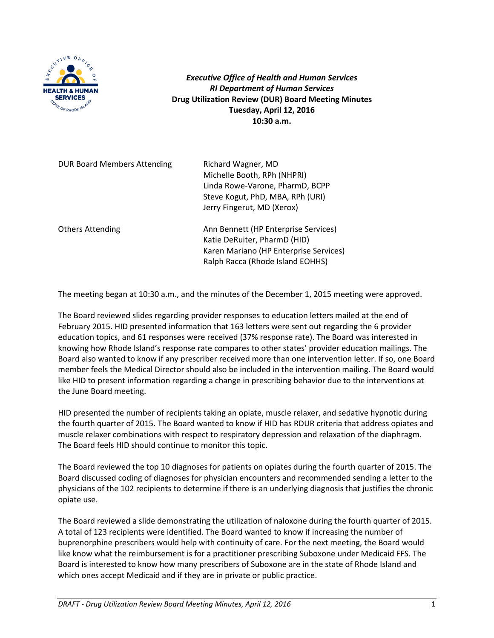

*Executive Office of Health and Human Services RI Department of Human Services* **Drug Utilization Review (DUR) Board Meeting Minutes Tuesday, April 12, 2016 10:30 a.m.**

DUR Board Members Attending Richard Wagner, MD

Michelle Booth, RPh (NHPRI) Linda Rowe-Varone, PharmD, BCPP Steve Kogut, PhD, MBA, RPh (URI) Jerry Fingerut, MD (Xerox)

Others Attending The Ann Bennett (HP Enterprise Services) Katie DeRuiter, PharmD (HID) Karen Mariano (HP Enterprise Services) Ralph Racca (Rhode Island EOHHS)

The meeting began at 10:30 a.m., and the minutes of the December 1, 2015 meeting were approved.

The Board reviewed slides regarding provider responses to education letters mailed at the end of February 2015. HID presented information that 163 letters were sent out regarding the 6 provider education topics, and 61 responses were received (37% response rate). The Board was interested in knowing how Rhode Island's response rate compares to other states' provider education mailings. The Board also wanted to know if any prescriber received more than one intervention letter. If so, one Board member feels the Medical Director should also be included in the intervention mailing. The Board would like HID to present information regarding a change in prescribing behavior due to the interventions at the June Board meeting.

HID presented the number of recipients taking an opiate, muscle relaxer, and sedative hypnotic during the fourth quarter of 2015. The Board wanted to know if HID has RDUR criteria that address opiates and muscle relaxer combinations with respect to respiratory depression and relaxation of the diaphragm. The Board feels HID should continue to monitor this topic.

The Board reviewed the top 10 diagnoses for patients on opiates during the fourth quarter of 2015. The Board discussed coding of diagnoses for physician encounters and recommended sending a letter to the physicians of the 102 recipients to determine if there is an underlying diagnosis that justifies the chronic opiate use.

The Board reviewed a slide demonstrating the utilization of naloxone during the fourth quarter of 2015. A total of 123 recipients were identified. The Board wanted to know if increasing the number of buprenorphine prescribers would help with continuity of care. For the next meeting, the Board would like know what the reimbursement is for a practitioner prescribing Suboxone under Medicaid FFS. The Board is interested to know how many prescribers of Suboxone are in the state of Rhode Island and which ones accept Medicaid and if they are in private or public practice.